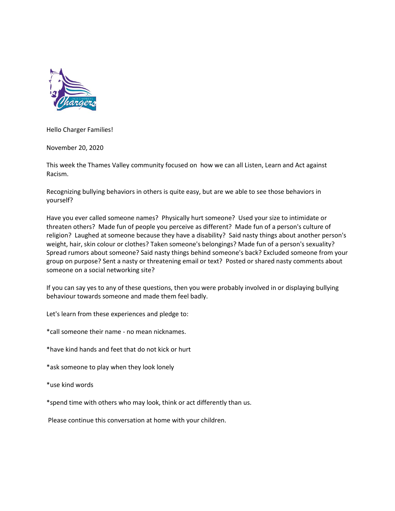

Hello Charger Families!

November 20, 2020

This week the Thames Valley community focused on how we can all Listen, Learn and Act against Racism.

Recognizing bullying behaviors in others is quite easy, but are we able to see those behaviors in yourself?

Have you ever called someone names? Physically hurt someone? Used your size to intimidate or threaten others? Made fun of people you perceive as different? Made fun of a person's culture of religion? Laughed at someone because they have a disability? Said nasty things about another person's weight, hair, skin colour or clothes? Taken someone's belongings? Made fun of a person's sexuality? Spread rumors about someone? Said nasty things behind someone's back? Excluded someone from your group on purpose? Sent a nasty or threatening email or text? Posted or shared nasty comments about someone on a social networking site?

If you can say yes to any of these questions, then you were probably involved in or displaying bullying behaviour towards someone and made them feel badly.

Let's learn from these experiences and pledge to:

\*call someone their name - no mean nicknames.

\*have kind hands and feet that do not kick or hurt

\*ask someone to play when they look lonely

\*use kind words

\*spend time with others who may look, think or act differently than us.

Please continue this conversation at home with your children.